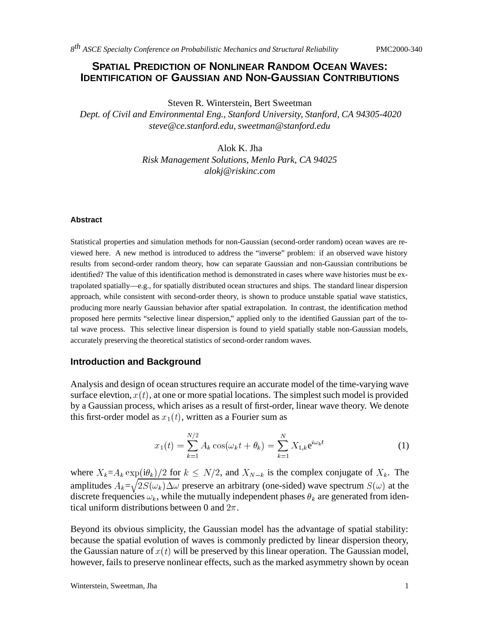# **SPATIAL PREDICTION OF NONLINEAR RANDOM OCEAN WAVES: IDENTIFICATION OF GAUSSIAN AND NON-GAUSSIAN CONTRIBUTIONS**

Steven R. Winterstein, Bert Sweetman *Dept. of Civil and Environmental Eng., Stanford University, Stanford, CA 94305-4020 steve@ce.stanford.edu, sweetman@stanford.edu*

> Alok K. Jha *Risk Management Solutions, Menlo Park, CA 94025 alokj@riskinc.com*

#### **Abstract**

Statistical properties and simulation methods for non-Gaussian (second-order random) ocean waves are reviewed here. A new method is introduced to address the "inverse" problem: if an observed wave history results from second-order random theory, how can separate Gaussian and non-Gaussian contributions be identified? The value of this identification method is demonstrated in cases where wave histories must be extrapolated spatially—e.g., for spatially distributed ocean structures and ships. The standard linear dispersion approach, while consistent with second-order theory, is shown to produce unstable spatial wave statistics, producing more nearly Gaussian behavior after spatial extrapolation. In contrast, the identification method proposed here permits "selective linear dispersion," applied only to the identified Gaussian part of the total wave process. This selective linear dispersion is found to yield spatially stable non-Gaussian models, accurately preserving the theoretical statistics of second-order random waves.

## **Introduction and Background**

Analysis and design of ocean structures require an accurate model of the time-varying wave surface elevtion,  $x(t)$ , at one or more spatial locations. The simplest such model is provided by a Gaussian process, which arises as a result of first-order, linear wave theory. We denote this first-order model as  $x_1(t)$ , written as a Fourier sum as

$$
x_1(t) = \sum_{k=1}^{N/2} A_k \cos(\omega_k t + \theta_k) = \sum_{k=1}^{N} X_{1,k} e^{i\omega_k t}
$$
 (1)

where  $X_k = A_k \exp(i\theta_k)/2$  for  $k \leq N/2$ , and  $X_{N-k}$  is the complex conjugate of  $X_k$ . The amplitudes  $A_k = \sqrt{2S(\omega_k)\Delta\omega}$  preserve an arbitrary (one-sided) wave spectrum  $S(\omega)$  at the discrete frequencies  $\omega_k$ , while the mutually independent phases  $\theta_k$  are generated from identical uniform distributions between 0 and  $2\pi$ .

Beyond its obvious simplicity, the Gaussian model has the advantage of spatial stability: because the spatial evolution of waves is commonly predicted by linear dispersion theory, the Gaussian nature of  $x(t)$  will be preserved by this linear operation. The Gaussian model, however, fails to preserve nonlinear effects, such as the marked asymmetry shown by ocean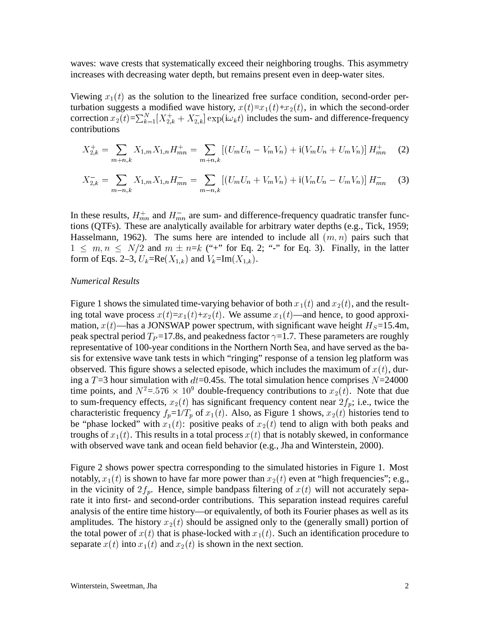waves: wave crests that systematically exceed their neighboring troughs. This asymmetry increases with decreasing water depth, but remains present even in deep-water sites.

Viewing  $x_1(t)$  as the solution to the linearized free surface condition, second-order perturbation suggests a modified wave history,  $x(t)=x_1(t)+x_2(t)$ , in which the second-order correction  $x_2(t)=\sum_{k=1}^N [X_{2,k}^++X_{2,k}^-]$  exp(i $\omega_k t$ ) includes the sum- and difference-frequency contributions

$$
X_{2,k}^{+} = \sum_{m+n,k} X_{1,m} X_{1,n} H_{mn}^{+} = \sum_{m+n,k} \left[ (U_m U_n - V_m V_n) + \mathbf{i} (V_m U_n + U_m V_n) \right] H_{mn}^{+}
$$
 (2)

$$
X_{2,k}^{-} = \sum_{m-n,k} X_{1,m} X_{1,n} H_{mn}^{-} = \sum_{m-n,k} \left[ \left( U_m U_n + V_m V_n \right) + \mathbf{i} \left( V_m U_n - U_m V_n \right) \right] H_{mn}^{-} \tag{3}
$$

In these results,  $H_{mn}^+$  and  $H_{mn}^-$  are sum- and difference-frequency quadratic transfer functions (QTFs). These are analytically available for arbitrary water depths (e.g., Tick, 1959; Hasselmann, 1962). The sums here are intended to include all  $(m, n)$  pairs such that  $1 \leq m, n \leq N/2$  and  $m \pm n=k$  ("+" for Eq. 2; "-" for Eq. 3). Finally, in the latter form of Eqs. 2–3,  $U_k = \text{Re}(X_{1,k})$  and  $V_k = \text{Im}(X_{1,k})$ .

### *Numerical Results*

Figure 1 shows the simulated time-varying behavior of both  $x_1(t)$  and  $x_2(t)$ , and the resulting total wave process  $x(t)=x_1(t)+x_2(t)$ . We assume  $x_1(t)$ —and hence, to good approximation,  $x(t)$ —has a JONSWAP power spectrum, with significant wave height  $H_S = 15.4$ m, peak spectral period  $T<sub>P</sub>=17.8$ s, and peakedness factor  $\gamma=1.7$ . These parameters are roughly representative of 100-year conditions in the Northern North Sea, and have served as the basis for extensive wave tank tests in which "ringing" response of a tension leg platform was observed. This figure shows a selected episode, which includes the maximum of  $x(t)$ , during a  $T=3$  hour simulation with  $dt=0.45$ s. The total simulation hence comprises  $N=24000$ time points, and  $N^2 = 576 \times 10^9$  double-frequency contributions to  $x_2(t)$ . Note that due to sum-frequency effects,  $x_2(t)$  has significant frequency content near  $2f_p$ ; i.e., twice the characteristic frequency  $f_p=1/T_p$  of  $x_1(t)$ . Also, as Figure 1 shows,  $x_2(t)$  histories tend to be "phase locked" with  $x_1(t)$ : positive peaks of  $x_2(t)$  tend to align with both peaks and troughs of  $x_1(t)$ . This results in a total process  $x(t)$  that is notably skewed, in conformance with observed wave tank and ocean field behavior (e.g., Jha and Winterstein, 2000).

Figure 2 shows power spectra corresponding to the simulated histories in Figure 1. Most notably,  $x_1(t)$  is shown to have far more power than  $x_2(t)$  even at "high frequencies"; e.g., in the vicinity of  $2f_p$ . Hence, simple bandpass filtering of  $x(t)$  will not accurately separate it into first- and second-order contributions. This separation instead requires careful analysis of the entire time history—or equivalently, of both its Fourier phases as well as its amplitudes. The history  $x_2(t)$  should be assigned only to the (generally small) portion of the total power of  $x(t)$  that is phase-locked with  $x_1(t)$ . Such an identification procedure to separate  $x(t)$  into  $x_1(t)$  and  $x_2(t)$  is shown in the next section.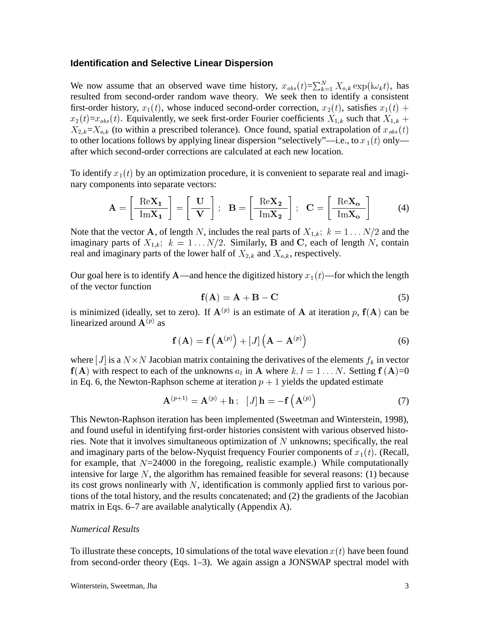## **Identification and Selective Linear Dispersion**

We now assume that an observed wave time history,  $x_{obs}(t) = \sum_{k=1}^{N} X_{o,k} \exp(i\omega_k t)$ , has resulted from second-order random wave theory. We seek then to identify a consistent first-order history,  $x_1(t)$ , whose induced second-order correction,  $x_2(t)$ , satisfies  $x_1(t)$  +  $x_2(t)=x_{obs}(t)$ . Equivalently, we seek first-order Fourier coefficients  $X_{1,k}$  such that  $X_{1,k}$  +  $X_{2,k}=X_{o,k}$  (to within a prescribed tolerance). Once found, spatial extrapolation of  $x_{obs}(t)$ to other locations follows by applying linear dispersion "selectively"—i.e., to  $x_1(t)$  only after which second-order corrections are calculated at each new location.

To identify  $x_1(t)$  by an optimization procedure, it is convenient to separate real and imaginary components into separate vectors:

$$
\mathbf{A} = \left[\frac{\text{Re}\mathbf{X_1}}{\text{Im}\mathbf{X_1}}\right] = \left[\frac{\mathbf{U}}{\mathbf{V}}\right]; \quad \mathbf{B} = \left[\frac{\text{Re}\mathbf{X_2}}{\text{Im}\mathbf{X_2}}\right]; \quad \mathbf{C} = \left[\frac{\text{Re}\mathbf{X_0}}{\text{Im}\mathbf{X_0}}\right] \tag{4}
$$

Note that the vector **A**, of length N, includes the real parts of  $X_{1,k}$ ;  $k = 1...N/2$  and the imaginary parts of  $X_{1,k}$ ;  $k = 1...N/2$ . Similarly, B and C, each of length N, contain real and imaginary parts of the lower half of  $X_{2,k}$  and  $X_{o,k}$ , respectively.

Our goal here is to identify A—and hence the digitized history  $x_1(t)$ —for which the length of the vector function

$$
\mathbf{f}(\mathbf{A}) = \mathbf{A} + \mathbf{B} - \mathbf{C} \tag{5}
$$

is minimized (ideally, set to zero). If  $A^{(p)}$  is an estimate of A at iteration p,  $f(A)$  can be linearized around  ${\bf A}^{(p)}$  as

$$
\mathbf{f}\left(\mathbf{A}\right) = \mathbf{f}\left(\mathbf{A}^{(p)}\right) + \left[J\right]\left(\mathbf{A} - \mathbf{A}^{(p)}\right) \tag{6}
$$

where [J] is a  $N \times N$  Jacobian matrix containing the derivatives of the elements  $f_k$  in vector  $f(A)$  with respect to each of the unknowns  $a_l$  in A where  $k, l = 1...N$ . Setting  $f(A)=0$ in Eq. 6, the Newton-Raphson scheme at iteration  $p + 1$  yields the updated estimate

$$
\mathbf{A}^{(p+1)} = \mathbf{A}^{(p)} + \mathbf{h} ; \quad [J] \mathbf{h} = -\mathbf{f}(\mathbf{A}^{(p)}) \tag{7}
$$

This Newton-Raphson iteration has been implemented (Sweetman and Winterstein, 1998), and found useful in identifying first-order histories consistent with various observed histories. Note that it involves simultaneous optimization of  $N$  unknowns; specifically, the real and imaginary parts of the below-Nyquist frequency Fourier components of  $x_1(t)$ . (Recall, for example, that  $N=24000$  in the foregoing, realistic example.) While computationally intensive for large  $N$ , the algorithm has remained feasible for several reasons: (1) because its cost grows nonlinearly with  $N$ , identification is commonly applied first to various portions of the total history, and the results concatenated; and (2) the gradients of the Jacobian matrix in Eqs. 6–7 are available analytically (Appendix A).

#### *Numerical Results*

To illustrate these concepts, 10 simulations of the total wave elevation  $x(t)$  have been found from second-order theory (Eqs. 1–3). We again assign a JONSWAP spectral model with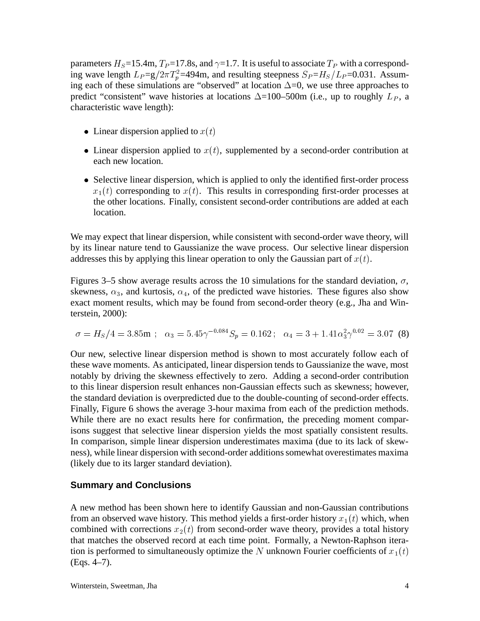parameters  $H_S = 15.4$ m,  $T_P = 17.8$ s, and  $\gamma = 1.7$ . It is useful to associate  $T_P$  with a corresponding wave length  $L_P = g/2\pi T_p^2 = 494$ m, and resulting steepness  $S_P = H_S/L_P = 0.031$ . Assuming each of these simulations are "observed" at location  $\Delta=0$ , we use three approaches to predict "consistent" wave histories at locations  $\Delta$ =100–500m (i.e., up to roughly  $L_p$ , a characteristic wave length):

- Linear dispersion applied to  $x(t)$
- Linear dispersion applied to  $x(t)$ , supplemented by a second-order contribution at each new location.
- Selective linear dispersion, which is applied to only the identified first-order process  $x_1(t)$  corresponding to  $x(t)$ . This results in corresponding first-order processes at the other locations. Finally, consistent second-order contributions are added at each location.

We may expect that linear dispersion, while consistent with second-order wave theory, will by its linear nature tend to Gaussianize the wave process. Our selective linear dispersion addresses this by applying this linear operation to only the Gaussian part of  $x(t)$ .

Figures 3–5 show average results across the 10 simulations for the standard deviation,  $\sigma$ , skewness,  $\alpha_3$ , and kurtosis,  $\alpha_4$ , of the predicted wave histories. These figures also show exact moment results, which may be found from second-order theory (e.g., Jha and Winterstein, 2000):

$$
\sigma = H_S/4 = 3.85 \text{m}; \quad \alpha_3 = 5.45 \gamma^{-0.084} S_p = 0.162; \quad \alpha_4 = 3 + 1.41 \alpha_3^2 \gamma^{0.02} = 3.07 \tag{8}
$$

Our new, selective linear dispersion method is shown to most accurately follow each of these wave moments. As anticipated, linear dispersion tends to Gaussianize the wave, most notably by driving the skewness effectively to zero. Adding a second-order contribution to this linear dispersion result enhances non-Gaussian effects such as skewness; however, the standard deviation is overpredicted due to the double-counting of second-order effects. Finally, Figure 6 shows the average 3-hour maxima from each of the prediction methods. While there are no exact results here for confirmation, the preceding moment comparisons suggest that selective linear dispersion yields the most spatially consistent results. In comparison, simple linear dispersion underestimates maxima (due to its lack of skewness), while linear dispersion with second-order additions somewhat overestimates maxima (likely due to its larger standard deviation).

## **Summary and Conclusions**

A new method has been shown here to identify Gaussian and non-Gaussian contributions from an observed wave history. This method yields a first-order history  $x_1(t)$  which, when combined with corrections  $x_2(t)$  from second-order wave theory, provides a total history that matches the observed record at each time point. Formally, a Newton-Raphson iteration is performed to simultaneously optimize the N unknown Fourier coefficients of  $x_1(t)$ (Eqs. 4–7).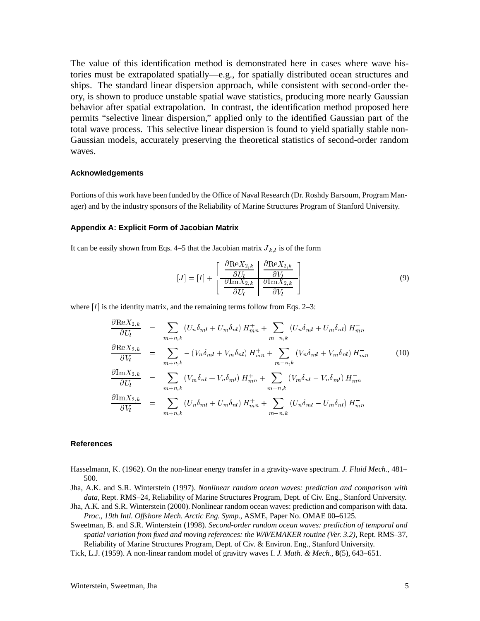The value of this identification method is demonstrated here in cases where wave histories must be extrapolated spatially—e.g., for spatially distributed ocean structures and ships. The standard linear dispersion approach, while consistent with second-order theory, is shown to produce unstable spatial wave statistics, producing more nearly Gaussian behavior after spatial extrapolation. In contrast, the identification method proposed here permits "selective linear dispersion," applied only to the identified Gaussian part of the total wave process. This selective linear dispersion is found to yield spatially stable non-Gaussian models, accurately preserving the theoretical statistics of second-order random waves.

#### **Acknowledgements**

Portions of this work have been funded by the Office of Naval Research (Dr. Roshdy Barsoum, Program Manager) and by the industry sponsors of the Reliability of Marine Structures Program of Stanford University.

#### **Appendix A: Explicit Form of Jacobian Matrix**

It can be easily shown from Eqs. 4–5 that the Jacobian matrix  $J_{k,l}$  is of the form

$$
[J] = [I] + \left[ \begin{array}{c} \frac{\partial \text{Re} X_{2,k}}{\partial U_l} & \frac{\partial \text{Re} X_{2,k}}{\partial V_l} \\ \frac{\partial \text{Im} X_{2,k}}{\partial U_l} & \frac{\partial \text{Im} X_{2,k}}{\partial V_l} \end{array} \right] \tag{9}
$$

where  $[I]$  is the identity matrix, and the remaining terms follow from Eqs. 2–3:

$$
\frac{\partial \text{Re} X_{2,k}}{\partial U_l} = \sum_{m+n,k} (U_n \delta_{ml} + U_m \delta_{nl}) H_{mn}^+ + \sum_{m-n,k} (U_n \delta_{ml} + U_m \delta_{nl}) H_{mn}^-
$$
\n
$$
\frac{\partial \text{Re} X_{2,k}}{\partial V_l} = \sum_{m+n,k} -(V_n \delta_{ml} + V_m \delta_{nl}) H_{mn}^+ + \sum_{m-n,k} (V_n \delta_{ml} + V_m \delta_{nl}) H_{mn}^-
$$
\n
$$
\frac{\partial \text{Im} X_{2,k}}{\partial U_l} = \sum_{m+n,k} (V_m \delta_{nl} + V_n \delta_{ml}) H_{mn}^+ + \sum_{m-n,k} (V_m \delta_{nl} - V_n \delta_{ml}) H_{mn}^-
$$
\n
$$
\frac{\partial \text{Im} X_{2,k}}{\partial V_l} = \sum_{m+n,k} (U_n \delta_{ml} + U_m \delta_{nl}) H_{mn}^+ + \sum_{m-n,k} (U_n \delta_{ml} - U_m \delta_{nl}) H_{mn}^-
$$
\n(10)

#### **References**

Hasselmann, K. (1962). On the non-linear energy transfer in a gravity-wave spectrum. *J. Fluid Mech.*, 481– 500.

Jha, A.K. and S.R. Winterstein (1997). *Nonlinear random ocean waves: prediction and comparison with data,* Rept. RMS–24, Reliability of Marine Structures Program, Dept. of Civ. Eng., Stanford University.

Jha, A.K. and S.R. Winterstein (2000). Nonlinear random ocean waves: prediction and comparison with data. *Proc., 19th Intl. Offshore Mech. Arctic Eng. Symp.,* ASME, Paper No. OMAE 00–6125.

Sweetman, B. and S.R. Winterstein (1998). *Second-order random ocean waves: prediction of temporal and spatial variation from fixed and moving references: the WAVEMAKER routine (Ver. 3.2),* Rept. RMS–37, Reliability of Marine Structures Program, Dept. of Civ. & Environ. Eng., Stanford University.

Tick, L.J. (1959). A non-linear random model of gravitry waves I. *J. Math. & Mech.,* **8**(5), 643–651.